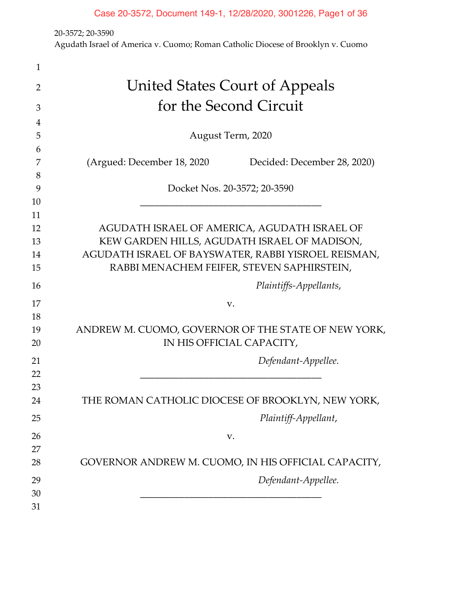20-3572; 20-3590

Agudath Israel of America v. Cuomo; Roman Catholic Diocese of Brooklyn v. Cuomo

| 1  |                                                            |
|----|------------------------------------------------------------|
| 2  | <b>United States Court of Appeals</b>                      |
| 3  | for the Second Circuit                                     |
| 4  |                                                            |
| 5  | August Term, 2020                                          |
| 6  |                                                            |
| 7  | (Argued: December 18, 2020)<br>Decided: December 28, 2020) |
| 8  |                                                            |
| 9  | Docket Nos. 20-3572; 20-3590                               |
| 10 |                                                            |
| 11 |                                                            |
| 12 | AGUDATH ISRAEL OF AMERICA, AGUDATH ISRAEL OF               |
| 13 | KEW GARDEN HILLS, AGUDATH ISRAEL OF MADISON,               |
| 14 | AGUDATH ISRAEL OF BAYSWATER, RABBI YISROEL REISMAN,        |
| 15 | RABBI MENACHEM FEIFER, STEVEN SAPHIRSTEIN,                 |
| 16 | Plaintiffs-Appellants,                                     |
| 17 | V.                                                         |
| 18 |                                                            |
| 19 | ANDREW M. CUOMO, GOVERNOR OF THE STATE OF NEW YORK,        |
| 20 | IN HIS OFFICIAL CAPACITY,                                  |
| 21 | Defendant-Appellee.                                        |
| 22 |                                                            |
| 23 |                                                            |
| 24 | THE ROMAN CATHOLIC DIOCESE OF BROOKLYN, NEW YORK,          |
| 25 | Plaintiff-Appellant,                                       |
|    |                                                            |
| 26 | V.                                                         |
| 27 |                                                            |
| 28 | GOVERNOR ANDREW M. CUOMO, IN HIS OFFICIAL CAPACITY,        |
| 29 | Defendant-Appellee.                                        |
| 30 |                                                            |
| 31 |                                                            |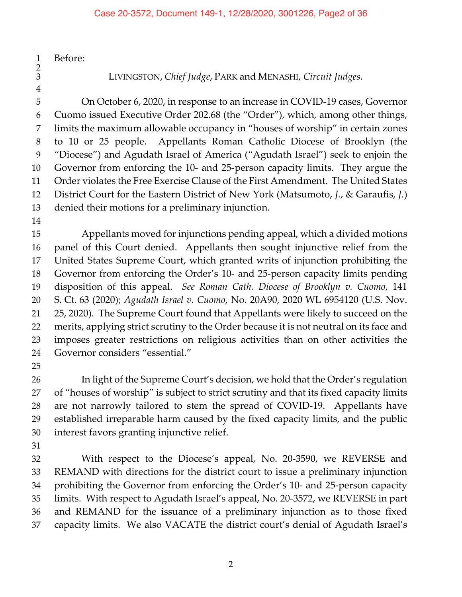Before:

 $\frac{1}{2}$ 

LIVINGSTON, *Chief Judge*, PARK and MENASHI, *Circuit Judges*.

 On October 6, 2020, in response to an increase in COVID-19 cases, Governor Cuomo issued Executive Order 202.68 (the "Order"), which, among other things, limits the maximum allowable occupancy in "houses of worship" in certain zones to 10 or 25 people. Appellants Roman Catholic Diocese of Brooklyn (the "Diocese") and Agudath Israel of America ("Agudath Israel") seek to enjoin the Governor from enforcing the 10- and 25-person capacity limits. They argue the Order violates the Free Exercise Clause of the First Amendment. The United States District Court for the Eastern District of New York (Matsumoto, *J.*, & Garaufis, *J.*) denied their motions for a preliminary injunction.

 Appellants moved for injunctions pending appeal, which a divided motions panel of this Court denied. Appellants then sought injunctive relief from the United States Supreme Court, which granted writs of injunction prohibiting the Governor from enforcing the Order's 10- and 25-person capacity limits pending disposition of this appeal. *See Roman Cath. Diocese of Brooklyn v. Cuomo*, 141 S. Ct. 63 (2020); *Agudath Israel v. Cuomo*, No. 20A90, 2020 WL 6954120 (U.S. Nov. 25, 2020). The Supreme Court found that Appellants were likely to succeed on the merits, applying strict scrutiny to the Order because it is not neutral on its face and imposes greater restrictions on religious activities than on other activities the Governor considers "essential."

26 In light of the Supreme Court's decision, we hold that the Order's regulation of "houses of worship" is subject to strict scrutiny and that its fixed capacity limits are not narrowly tailored to stem the spread of COVID-19. Appellants have established irreparable harm caused by the fixed capacity limits, and the public interest favors granting injunctive relief.

 With respect to the Diocese's appeal, No. 20-3590, we REVERSE and REMAND with directions for the district court to issue a preliminary injunction prohibiting the Governor from enforcing the Order's 10- and 25-person capacity limits. With respect to Agudath Israel's appeal, No. 20-3572, we REVERSE in part and REMAND for the issuance of a preliminary injunction as to those fixed capacity limits. We also VACATE the district court's denial of Agudath Israel's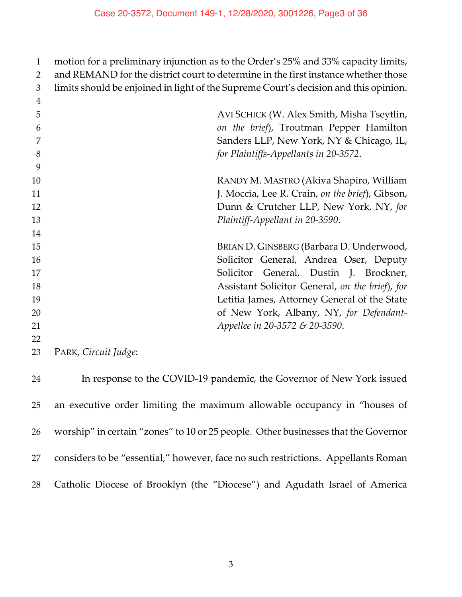| $\mathbf{1}$ | motion for a preliminary injunction as to the Order's 25% and 33% capacity limits,   |
|--------------|--------------------------------------------------------------------------------------|
| 2            | and REMAND for the district court to determine in the first instance whether those   |
| 3            | limits should be enjoined in light of the Supreme Court's decision and this opinion. |
| 4            |                                                                                      |
| 5            | AVI SCHICK (W. Alex Smith, Misha Tseytlin,                                           |
| 6            | on the brief), Troutman Pepper Hamilton                                              |
|              | Sanders LLP, New York, NY & Chicago, IL,                                             |
| 8            | for Plaintiffs-Appellants in 20-3572.                                                |
| 9            |                                                                                      |
| 10           | RANDY M. MASTRO (Akiva Shapiro, William                                              |
| 11           | J. Moccia, Lee R. Crain, on the brief), Gibson,                                      |
| 12           | Dunn & Crutcher LLP, New York, NY, for                                               |
| 13           | Plaintiff-Appellant in 20-3590.                                                      |
| 14           |                                                                                      |
| 15           | BRIAN D. GINSBERG (Barbara D. Underwood,                                             |
| 16           | Solicitor General, Andrea Oser, Deputy                                               |
| 17           | General, Dustin J. Brockner,<br>Solicitor                                            |
| 18           | Assistant Solicitor General, on the brief), for                                      |
| 19           | Letitia James, Attorney General of the State                                         |
| 20           | of New York, Albany, NY, for Defendant-                                              |
| 21           | Appellee in 20-3572 & 20-3590.                                                       |
| 22           |                                                                                      |
|              |                                                                                      |

PARK, *Circuit Judge*:

 In response to the COVID-19 pandemic, the Governor of New York issued an executive order limiting the maximum allowable occupancy in "houses of worship" in certain "zones" to 10 or 25 people. Other businesses that the Governor considers to be "essential," however, face no such restrictions. Appellants Roman Catholic Diocese of Brooklyn (the "Diocese") and Agudath Israel of America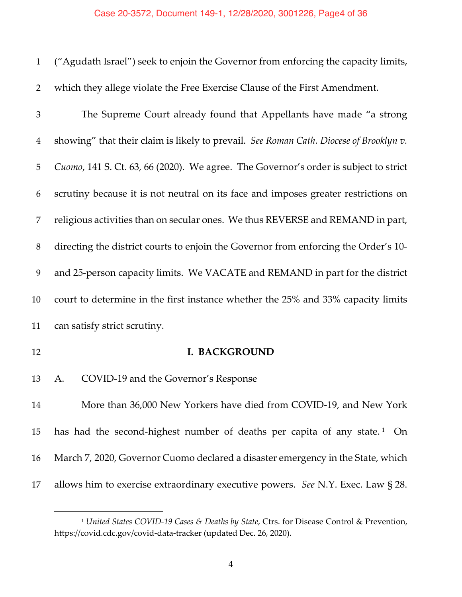| $\mathbf{1}$ | ("Agudath Israel") seek to enjoin the Governor from enforcing the capacity limits,     |
|--------------|----------------------------------------------------------------------------------------|
| 2            | which they allege violate the Free Exercise Clause of the First Amendment.             |
| 3            | The Supreme Court already found that Appellants have made "a strong                    |
| 4            | showing" that their claim is likely to prevail. See Roman Cath. Diocese of Brooklyn v. |
| 5            | Cuomo, 141 S. Ct. 63, 66 (2020). We agree. The Governor's order is subject to strict   |
| 6            | scrutiny because it is not neutral on its face and imposes greater restrictions on     |
| 7            | religious activities than on secular ones. We thus REVERSE and REMAND in part,         |
| 8            | directing the district courts to enjoin the Governor from enforcing the Order's 10-    |
| 9            | and 25-person capacity limits. We VACATE and REMAND in part for the district           |
| 10           | court to determine in the first instance whether the 25% and 33% capacity limits       |
| 11           | can satisfy strict scrutiny.                                                           |
| 12           | <b>I. BACKGROUND</b>                                                                   |
| 13           | <b>COVID-19 and the Governor's Response</b><br>А.                                      |
| 14           | More than 36,000 New Yorkers have died from COVID-19, and New York                     |
| 15           | has had the second-highest number of deaths per capita of any state. <sup>1</sup> On   |
| 16           | March 7, 2020, Governor Cuomo declared a disaster emergency in the State, which        |
| 17           | allows him to exercise extraordinary executive powers. See N.Y. Exec. Law § 28.        |

 *United States COVID-19 Cases & Deaths by State*, Ctrs. for Disease Control & Prevention, https://covid.cdc.gov/covid-data-tracker (updated Dec. 26, 2020).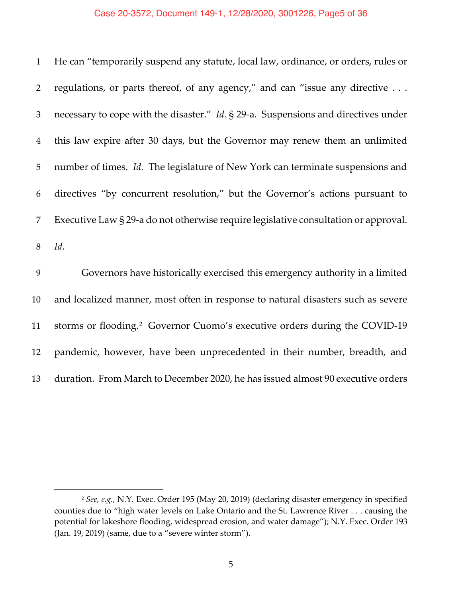## Case 20-3572, Document 149-1, 12/28/2020, 3001226, Page5 of 36

| $\mathbf{1}$   | He can "temporarily suspend any statute, local law, ordinance, or orders, rules or        |
|----------------|-------------------------------------------------------------------------------------------|
| $\overline{2}$ | regulations, or parts thereof, of any agency," and can "issue any directive               |
| 3              | necessary to cope with the disaster." <i>Id.</i> § 29-a. Suspensions and directives under |
| $\overline{4}$ | this law expire after 30 days, but the Governor may renew them an unlimited               |
| 5              | number of times. Id. The legislature of New York can terminate suspensions and            |
| 6              | directives "by concurrent resolution," but the Governor's actions pursuant to             |
| 7              | Executive Law § 29-a do not otherwise require legislative consultation or approval.       |
| 8              | Id.                                                                                       |
| 9              | Governors have historically exercised this emergency authority in a limited               |
| 10             | and localized manner, most often in response to natural disasters such as severe          |
| 11             | storms or flooding. <sup>2</sup> Governor Cuomo's executive orders during the COVID-19    |

pandemic, however, have been unprecedented in their number, breadth, and

duration. From March to December 2020, he has issued almost 90 executive orders

 *See, e.g.*, N.Y. Exec. Order 195 (May 20, 2019) (declaring disaster emergency in specified counties due to "high water levels on Lake Ontario and the St. Lawrence River . . . causing the potential for lakeshore flooding, widespread erosion, and water damage"); N.Y. Exec. Order 193 (Jan. 19, 2019) (same, due to a "severe winter storm").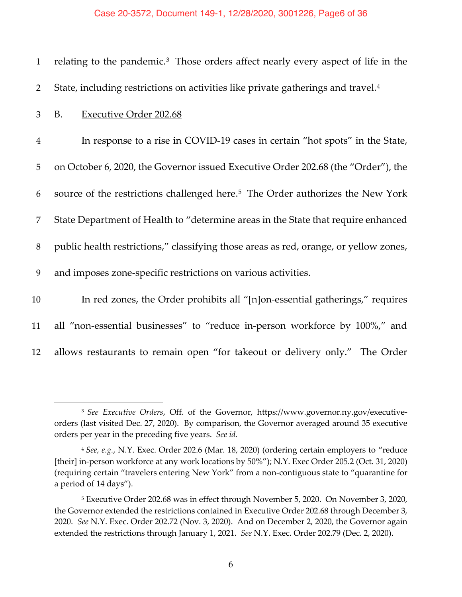#### Case 20-3572, Document 149-1, 12/28/2020, 3001226, Page6 of 36

| $\mathbf{1}$   | relating to the pandemic. <sup>3</sup> Those orders affect nearly every aspect of life in the |
|----------------|-----------------------------------------------------------------------------------------------|
| $\overline{2}$ | State, including restrictions on activities like private gatherings and travel. <sup>4</sup>  |
| 3              | <b>Executive Order 202.68</b><br>B.                                                           |
| $\overline{4}$ | In response to a rise in COVID-19 cases in certain "hot spots" in the State,                  |
| 5              | on October 6, 2020, the Governor issued Executive Order 202.68 (the "Order"), the             |
| 6              | source of the restrictions challenged here. <sup>5</sup> The Order authorizes the New York    |
| 7              | State Department of Health to "determine areas in the State that require enhanced             |
| 8              | public health restrictions," classifying those areas as red, orange, or yellow zones,         |
| 9              | and imposes zone-specific restrictions on various activities.                                 |
| 10             | In red zones, the Order prohibits all "[n]on-essential gatherings," requires                  |
| 11             | all "non-essential businesses" to "reduce in-person workforce by 100%," and                   |
| 12             | allows restaurants to remain open "for takeout or delivery only." The Order                   |

<sup>3</sup> *See Executive Orders*, Off. of the Governor, https://www.governor.ny.gov/executiveorders (last visited Dec. 27, 2020). By comparison, the Governor averaged around 35 executive orders per year in the preceding five years. *See id.*

<sup>4</sup> *See, e.g.*, N.Y. Exec. Order 202.6 (Mar. 18, 2020) (ordering certain employers to "reduce [their] in-person workforce at any work locations by 50%"); N.Y. Exec Order 205.2 (Oct. 31, 2020) (requiring certain "travelers entering New York" from a non-contiguous state to "quarantine for a period of 14 days").

<sup>5</sup> Executive Order 202.68 was in effect through November 5, 2020. On November 3, 2020, the Governor extended the restrictions contained in Executive Order 202.68 through December 3, 2020. *See* N.Y. Exec. Order 202.72 (Nov. 3, 2020). And on December 2, 2020, the Governor again extended the restrictions through January 1, 2021. *See* N.Y. Exec. Order 202.79 (Dec. 2, 2020).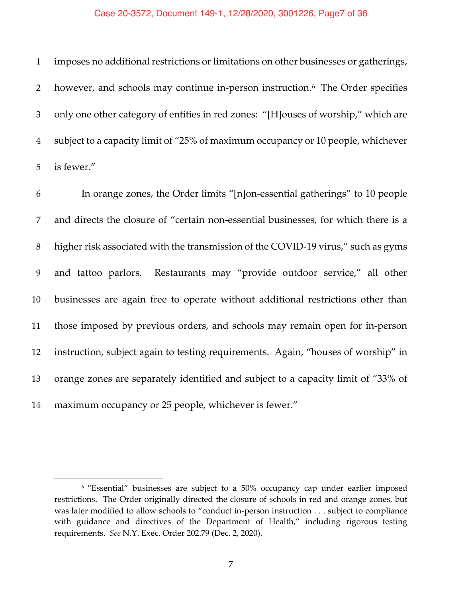#### Case 20-3572, Document 149-1, 12/28/2020, 3001226, Page7 of 36

 imposes no additional restrictions or limitations on other businesses or gatherings, 2 however, and schools may continue in-person instruction.<sup>6</sup> The Order specifies only one other category of entities in red zones: "[H]ouses of worship," which are subject to a capacity limit of "25% of maximum occupancy or 10 people, whichever is fewer."

 In orange zones, the Order limits "[n]on-essential gatherings" to 10 people and directs the closure of "certain non-essential businesses, for which there is a higher risk associated with the transmission of the COVID-19 virus," such as gyms and tattoo parlors. Restaurants may "provide outdoor service," all other businesses are again free to operate without additional restrictions other than those imposed by previous orders, and schools may remain open for in-person instruction, subject again to testing requirements. Again, "houses of worship" in orange zones are separately identified and subject to a capacity limit of "33% of maximum occupancy or 25 people, whichever is fewer."

<sup>&</sup>lt;sup>6</sup> "Essential" businesses are subject to a 50% occupancy cap under earlier imposed restrictions. The Order originally directed the closure of schools in red and orange zones, but was later modified to allow schools to "conduct in-person instruction . . . subject to compliance with guidance and directives of the Department of Health," including rigorous testing requirements. *See* N.Y. Exec. Order 202.79 (Dec. 2, 2020).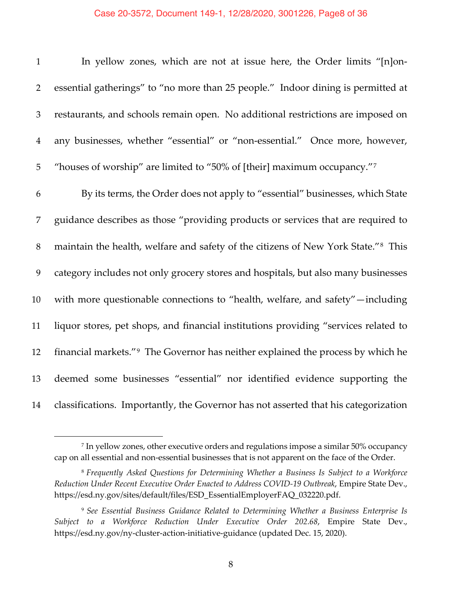#### Case 20-3572, Document 149-1, 12/28/2020, 3001226, Page8 of 36

| $\mathbf{1}$   | In yellow zones, which are not at issue here, the Order limits "[n]on-                        |
|----------------|-----------------------------------------------------------------------------------------------|
| $\overline{2}$ | essential gatherings" to "no more than 25 people." Indoor dining is permitted at              |
| 3              | restaurants, and schools remain open. No additional restrictions are imposed on               |
| $\overline{4}$ | any businesses, whether "essential" or "non-essential." Once more, however,                   |
| $\mathbf 5$    | "houses of worship" are limited to "50% of [their] maximum occupancy." <sup>7</sup>           |
| 6              | By its terms, the Order does not apply to "essential" businesses, which State                 |
| 7              | guidance describes as those "providing products or services that are required to              |
| $8\,$          | maintain the health, welfare and safety of the citizens of New York State." <sup>8</sup> This |
| 9              | category includes not only grocery stores and hospitals, but also many businesses             |
| 10             | with more questionable connections to "health, welfare, and safety" - including               |
| 11             | liquor stores, pet shops, and financial institutions providing "services related to           |
| 12             | financial markets." <sup>9</sup> The Governor has neither explained the process by which he   |
| 13             | deemed some businesses "essential" nor identified evidence supporting the                     |
| 14             | classifications. Importantly, the Governor has not asserted that his categorization           |

 In yellow zones, other executive orders and regulations impose a similar 50% occupancy cap on all essential and non-essential businesses that is not apparent on the face of the Order.

 *Frequently Asked Questions for Determining Whether a Business Is Subject to a Workforce Reduction Under Recent Executive Order Enacted to Address COVID-19 Outbreak*, Empire State Dev., https://esd.ny.gov/sites/default/files/ESD\_EssentialEmployerFAQ\_032220.pdf.

 *See Essential Business Guidance Related to Determining Whether a Business Enterprise Is Subject to a Workforce Reduction Under Executive Order 202.68*, Empire State Dev., https://esd.ny.gov/ny-cluster-action-initiative-guidance (updated Dec. 15, 2020).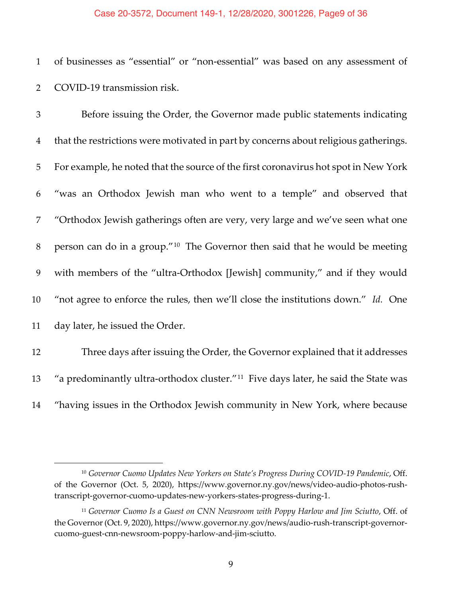#### Case 20-3572, Document 149-1, 12/28/2020, 3001226, Page9 of 36

 of businesses as "essential" or "non-essential" was based on any assessment of COVID-19 transmission risk.

 Before issuing the Order, the Governor made public statements indicating that the restrictions were motivated in part by concerns about religious gatherings. For example, he noted that the source of the first coronavirus hot spot in New York "was an Orthodox Jewish man who went to a temple" and observed that "Orthodox Jewish gatherings often are very, very large and we've seen what one 8 person can do in a group." The Governor then said that he would be meeting with members of the "ultra-Orthodox [Jewish] community," and if they would "not agree to enforce the rules, then we'll close the institutions down." *Id.* One day later, he issued the Order. Three days after issuing the Order, the Governor explained that it addresses

13 "a predominantly ultra-orthodox cluster."<sup>11</sup> Five days later, he said the State was

"having issues in the Orthodox Jewish community in New York, where because

<sup>&</sup>lt;sup>10</sup> Governor Cuomo Updates New Yorkers on State's Progress During COVID-19 Pandemic, Off. of the Governor (Oct. 5, 2020), https://www.governor.ny.gov/news/video-audio-photos-rushtranscript-governor-cuomo-updates-new-yorkers-states-progress-during-1.

<sup>&</sup>lt;sup>11</sup> Governor Cuomo Is a Guest on CNN Newsroom with Poppy Harlow and Jim Sciutto, Off. of the Governor (Oct. 9, 2020), https://www.governor.ny.gov/news/audio-rush-transcript-governorcuomo-guest-cnn-newsroom-poppy-harlow-and-jim-sciutto.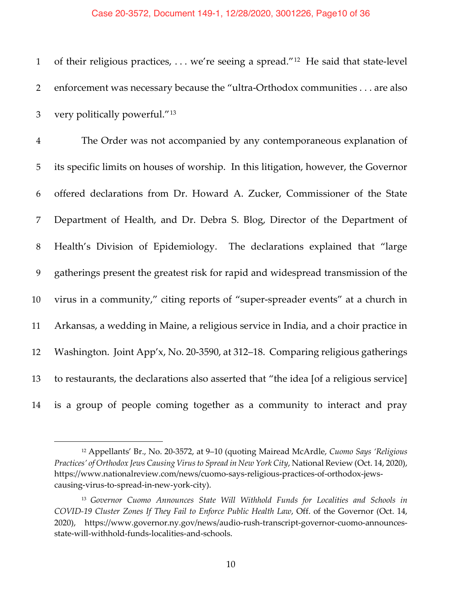#### Case 20-3572, Document 149-1, 12/28/2020, 3001226, Page10 of 36

1 of their religious practices, ... we're seeing a spread."<sup>12</sup> He said that state-level enforcement was necessary because the "ultra-Orthodox communities . . . are also 3 very politically powerful."<sup>13</sup>

 The Order was not accompanied by any contemporaneous explanation of its specific limits on houses of worship. In this litigation, however, the Governor offered declarations from Dr. Howard A. Zucker, Commissioner of the State Department of Health, and Dr. Debra S. Blog, Director of the Department of Health's Division of Epidemiology. The declarations explained that "large gatherings present the greatest risk for rapid and widespread transmission of the virus in a community," citing reports of "super-spreader events" at a church in Arkansas, a wedding in Maine, a religious service in India, and a choir practice in Washington. Joint App'x, No. 20-3590, at 312–18. Comparing religious gatherings to restaurants, the declarations also asserted that "the idea [of a religious service] is a group of people coming together as a community to interact and pray

 Appellants' Br., No. 20-3572, at 9–10 (quoting Mairead McArdle, *Cuomo Says 'Religious Practices' of Orthodox Jews Causing Virus to Spread in New York City*, National Review (Oct. 14, 2020), https://www.nationalreview.com/news/cuomo-says-religious-practices-of-orthodox-jewscausing-virus-to-spread-in-new-york-city).

 *Governor Cuomo Announces State Will Withhold Funds for Localities and Schools in COVID-19 Cluster Zones If They Fail to Enforce Public Health Law*, Off. of the Governor (Oct. 14, 2020), https://www.governor.ny.gov/news/audio-rush-transcript-governor-cuomo-announcesstate-will-withhold-funds-localities-and-schools.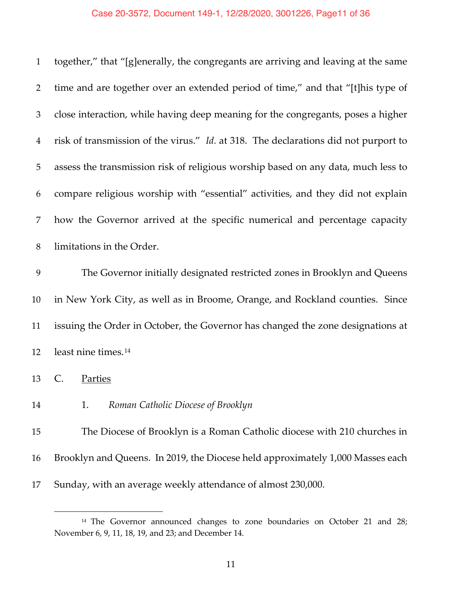# Case 20-3572, Document 149-1, 12/28/2020, 3001226, Page11 of 36

| $\mathbf{1}$ | together," that "[g]enerally, the congregants are arriving and leaving at the same  |
|--------------|-------------------------------------------------------------------------------------|
| 2            | time and are together over an extended period of time," and that "[t]his type of    |
| 3            | close interaction, while having deep meaning for the congregants, poses a higher    |
| 4            | risk of transmission of the virus." Id. at 318. The declarations did not purport to |
| 5            | assess the transmission risk of religious worship based on any data, much less to   |
| 6            | compare religious worship with "essential" activities, and they did not explain     |
| 7            | how the Governor arrived at the specific numerical and percentage capacity          |
| 8            | limitations in the Order.                                                           |
| 9            | The Governor initially designated restricted zones in Brooklyn and Queens           |
| 10           | in New York City, as well as in Broome, Orange, and Rockland counties. Since        |
| 11           | issuing the Order in October, the Governor has changed the zone designations at     |
| 12           | least nine times. <sup>14</sup>                                                     |
| 13           | $\mathsf{C}$ .<br>Parties                                                           |
| 14           | 1.<br>Roman Catholic Diocese of Brooklyn                                            |
| 15           | The Diocese of Brooklyn is a Roman Catholic diocese with 210 churches in            |
| 16           | Brooklyn and Queens. In 2019, the Diocese held approximately 1,000 Masses each      |
|              |                                                                                     |

Sunday, with an average weekly attendance of almost 230,000.

<sup>&</sup>lt;sup>14</sup> The Governor announced changes to zone boundaries on October 21 and 28; November 6, 9, 11, 18, 19, and 23; and December 14.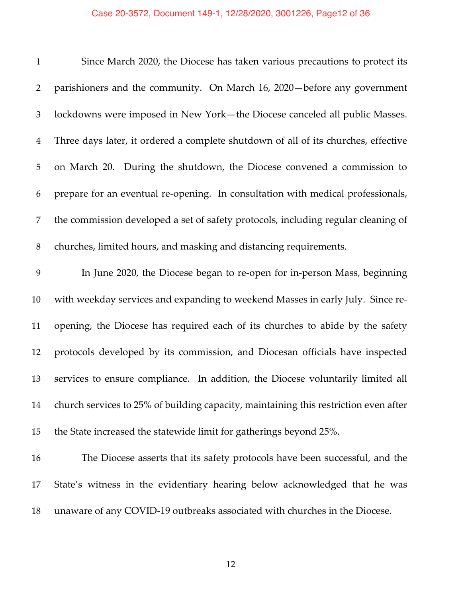| $\mathbf{1}$   | Since March 2020, the Diocese has taken various precautions to protect its           |
|----------------|--------------------------------------------------------------------------------------|
| 2              | parishioners and the community. On March 16, 2020 – before any government            |
| 3              | lockdowns were imposed in New York-the Diocese canceled all public Masses.           |
| $\overline{4}$ | Three days later, it ordered a complete shutdown of all of its churches, effective   |
| 5              | on March 20. During the shutdown, the Diocese convened a commission to               |
| 6              | prepare for an eventual re-opening. In consultation with medical professionals,      |
| 7              | the commission developed a set of safety protocols, including regular cleaning of    |
| $8\,$          | churches, limited hours, and masking and distancing requirements.                    |
| 9              | In June 2020, the Diocese began to re-open for in-person Mass, beginning             |
| 10             | with weekday services and expanding to weekend Masses in early July. Since re-       |
| 11             | opening, the Diocese has required each of its churches to abide by the safety        |
| 12             | protocols developed by its commission, and Diocesan officials have inspected         |
| 13             | services to ensure compliance. In addition, the Diocese voluntarily limited all      |
| 14             | church services to 25% of building capacity, maintaining this restriction even after |
| 15             | the State increased the statewide limit for gatherings beyond 25%.                   |
| 16             | The Diocese asserts that its safety protocols have been successful, and the          |

 State's witness in the evidentiary hearing below acknowledged that he was unaware of any COVID-19 outbreaks associated with churches in the Diocese.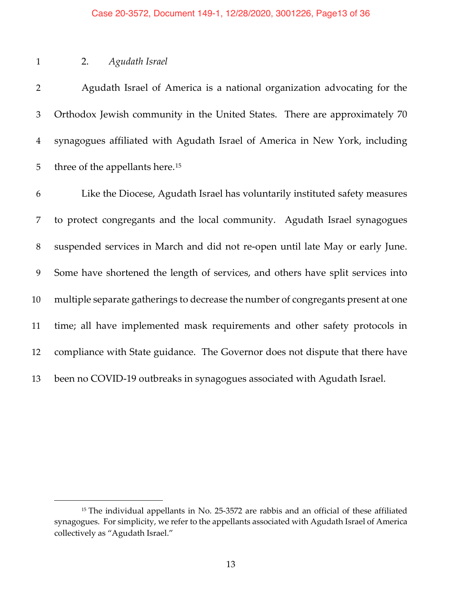## 2. *Agudath Israel*

 Agudath Israel of America is a national organization advocating for the Orthodox Jewish community in the United States. There are approximately 70 synagogues affiliated with Agudath Israel of America in New York, including 5 three of the appellants here.<sup>15</sup>

 Like the Diocese, Agudath Israel has voluntarily instituted safety measures to protect congregants and the local community. Agudath Israel synagogues suspended services in March and did not re-open until late May or early June. Some have shortened the length of services, and others have split services into multiple separate gatherings to decrease the number of congregants present at one time; all have implemented mask requirements and other safety protocols in compliance with State guidance. The Governor does not dispute that there have been no COVID-19 outbreaks in synagogues associated with Agudath Israel.

<sup>&</sup>lt;sup>15</sup> The individual appellants in No. 25-3572 are rabbis and an official of these affiliated synagogues. For simplicity, we refer to the appellants associated with Agudath Israel of America collectively as "Agudath Israel."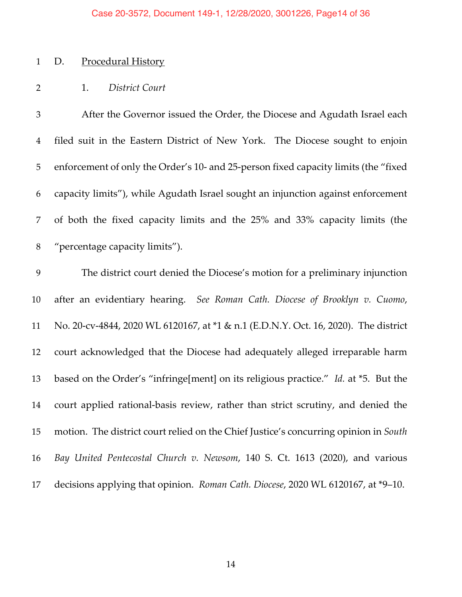#### Case 20-3572, Document 149-1, 12/28/2020, 3001226, Page14 of 36

## D. Procedural History

## 1. *District Court*

 After the Governor issued the Order, the Diocese and Agudath Israel each filed suit in the Eastern District of New York. The Diocese sought to enjoin enforcement of only the Order's 10- and 25-person fixed capacity limits (the "fixed capacity limits"), while Agudath Israel sought an injunction against enforcement of both the fixed capacity limits and the 25% and 33% capacity limits (the "percentage capacity limits").

 The district court denied the Diocese's motion for a preliminary injunction after an evidentiary hearing. *See Roman Cath. Diocese of Brooklyn v. Cuomo*, No. 20-cv-4844, 2020 WL 6120167, at \*1 & n.1 (E.D.N.Y. Oct. 16, 2020). The district court acknowledged that the Diocese had adequately alleged irreparable harm based on the Order's "infringe[ment] on its religious practice." *Id.* at \*5. But the court applied rational-basis review, rather than strict scrutiny, and denied the motion. The district court relied on the Chief Justice's concurring opinion in *South Bay United Pentecostal Church v. Newsom*, 140 S. Ct. 1613 (2020), and various decisions applying that opinion. *Roman Cath. Diocese*, 2020 WL 6120167, at \*9–10.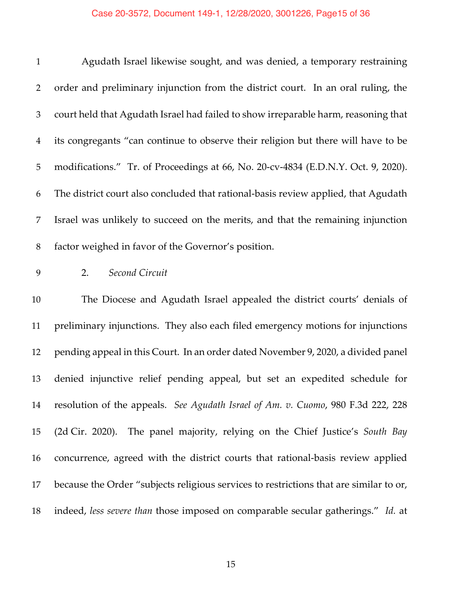# Case 20-3572, Document 149-1, 12/28/2020, 3001226, Page15 of 36

| $\mathbf{1}$   | Agudath Israel likewise sought, and was denied, a temporary restraining                |
|----------------|----------------------------------------------------------------------------------------|
| $\overline{2}$ | order and preliminary injunction from the district court. In an oral ruling, the       |
| 3              | court held that Agudath Israel had failed to show irreparable harm, reasoning that     |
| $\overline{4}$ | its congregants "can continue to observe their religion but there will have to be      |
| 5              | modifications." Tr. of Proceedings at 66, No. 20-cv-4834 (E.D.N.Y. Oct. 9, 2020).      |
| 6              | The district court also concluded that rational-basis review applied, that Agudath     |
| 7              | Israel was unlikely to succeed on the merits, and that the remaining injunction        |
| 8              | factor weighed in favor of the Governor's position.                                    |
| 9              | Second Circuit<br>2.                                                                   |
| 10             | The Diocese and Agudath Israel appealed the district courts' denials of                |
| 11             | preliminary injunctions. They also each filed emergency motions for injunctions        |
| 12             | pending appeal in this Court. In an order dated November 9, 2020, a divided panel      |
| 13             | denied injunctive relief pending appeal, but set an expedited schedule for             |
| 14             | resolution of the appeals. See Agudath Israel of Am. v. Cuomo, 980 F.3d 222, 228       |
| 15             | (2d Cir. 2020). The panel majority, relying on the Chief Justice's South Bay           |
| 16             | concurrence, agreed with the district courts that rational-basis review applied        |
| 17             | because the Order "subjects religious services to restrictions that are similar to or, |
| 18             | indeed, less severe than those imposed on comparable secular gatherings." Id. at       |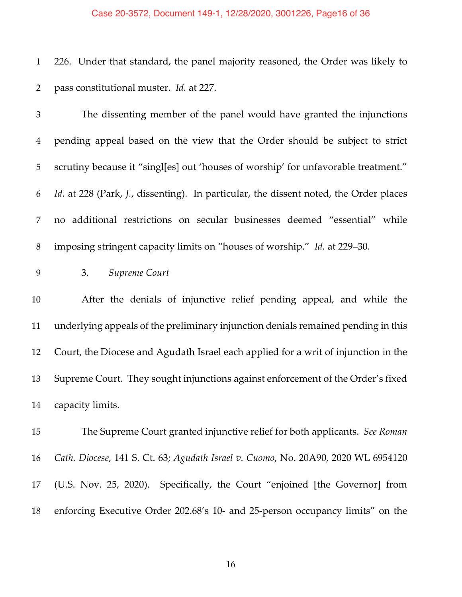#### Case 20-3572, Document 149-1, 12/28/2020, 3001226, Page16 of 36

 226. Under that standard, the panel majority reasoned, the Order was likely to pass constitutional muster. *Id.* at 227.

 The dissenting member of the panel would have granted the injunctions pending appeal based on the view that the Order should be subject to strict scrutiny because it "singl[es] out 'houses of worship' for unfavorable treatment." *Id.* at 228 (Park, *J.*, dissenting). In particular, the dissent noted, the Order places no additional restrictions on secular businesses deemed "essential" while imposing stringent capacity limits on "houses of worship." *Id.* at 229–30.

3. *Supreme Court*

 After the denials of injunctive relief pending appeal, and while the underlying appeals of the preliminary injunction denials remained pending in this Court, the Diocese and Agudath Israel each applied for a writ of injunction in the Supreme Court. They sought injunctions against enforcement of the Order's fixed capacity limits.

 The Supreme Court granted injunctive relief for both applicants. *See Roman Cath. Diocese*, 141 S. Ct. 63; *Agudath Israel v. Cuomo*, No. 20A90, 2020 WL 6954120 (U.S. Nov. 25, 2020). Specifically, the Court "enjoined [the Governor] from enforcing Executive Order 202.68's 10- and 25-person occupancy limits" on the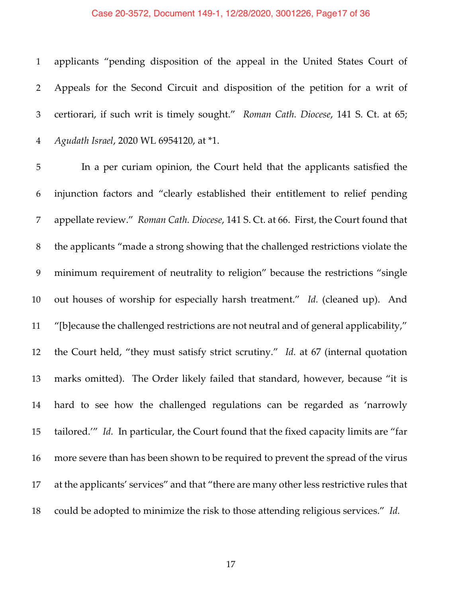#### Case 20-3572, Document 149-1, 12/28/2020, 3001226, Page17 of 36

 applicants "pending disposition of the appeal in the United States Court of Appeals for the Second Circuit and disposition of the petition for a writ of certiorari, if such writ is timely sought." *Roman Cath. Diocese*, 141 S. Ct. at 65; *Agudath Israel*, 2020 WL 6954120, at \*1.

 In a per curiam opinion, the Court held that the applicants satisfied the injunction factors and "clearly established their entitlement to relief pending appellate review." *Roman Cath. Diocese*, 141 S. Ct. at 66. First, the Court found that the applicants "made a strong showing that the challenged restrictions violate the minimum requirement of neutrality to religion" because the restrictions "single out houses of worship for especially harsh treatment." *Id.* (cleaned up).And "[b]ecause the challenged restrictions are not neutral and of general applicability," the Court held, "they must satisfy strict scrutiny." *Id.* at 67 (internal quotation marks omitted). The Order likely failed that standard, however, because "it is hard to see how the challenged regulations can be regarded as 'narrowly tailored.'" *Id.* In particular, the Court found that the fixed capacity limits are "far more severe than has been shown to be required to prevent the spread of the virus at the applicants' services" and that "there are many other less restrictive rules that could be adopted to minimize the risk to those attending religious services." *Id.*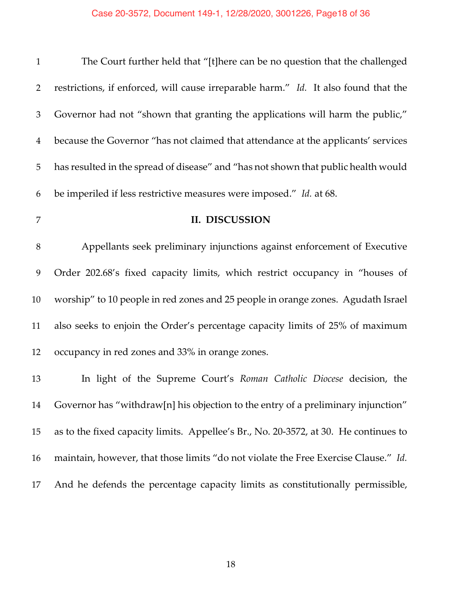| $\mathbf{1}$   | The Court further held that "[t]here can be no question that the challenged          |
|----------------|--------------------------------------------------------------------------------------|
| $\overline{2}$ | restrictions, if enforced, will cause irreparable harm." Id. It also found that the  |
| 3              | Governor had not "shown that granting the applications will harm the public,"        |
| $\overline{4}$ | because the Governor "has not claimed that attendance at the applicants' services    |
| 5              | has resulted in the spread of disease" and "has not shown that public health would   |
| 6              | be imperiled if less restrictive measures were imposed." Id. at 68.                  |
| 7              | II. DISCUSSION                                                                       |
| 8              | Appellants seek preliminary injunctions against enforcement of Executive             |
| 9              | Order 202.68's fixed capacity limits, which restrict occupancy in "houses of         |
| 10             | worship" to 10 people in red zones and 25 people in orange zones. Agudath Israel     |
| 11             | also seeks to enjoin the Order's percentage capacity limits of 25% of maximum        |
| 12             | occupancy in red zones and 33% in orange zones.                                      |
| 13             | In light of the Supreme Court's Roman Catholic Diocese decision, the                 |
| 14             | Governor has "withdraw[n] his objection to the entry of a preliminary injunction"    |
| 15             | as to the fixed capacity limits. Appellee's Br., No. 20-3572, at 30. He continues to |
| 16             | maintain, however, that those limits "do not violate the Free Exercise Clause." Id.  |
| 17             | And he defends the percentage capacity limits as constitutionally permissible,       |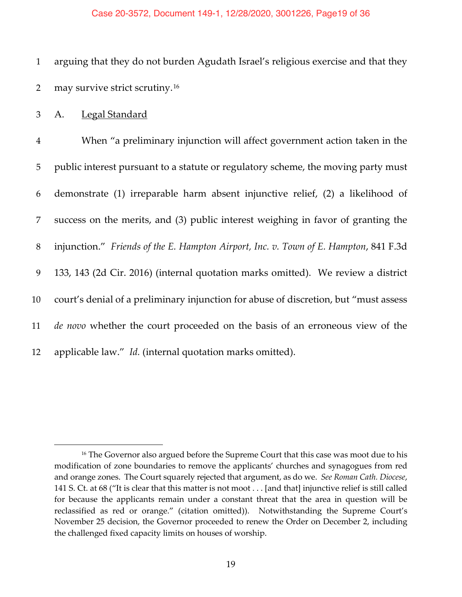#### Case 20-3572, Document 149-1, 12/28/2020, 3001226, Page19 of 36

1 arguing that they do not burden Agudath Israel's religious exercise and that they 2 may survive strict scrutiny.<sup>16</sup>

3 A. Legal Standard

 When "a preliminary injunction will affect government action taken in the public interest pursuant to a statute or regulatory scheme, the moving party must demonstrate (1) irreparable harm absent injunctive relief, (2) a likelihood of success on the merits, and (3) public interest weighing in favor of granting the injunction." *Friends of the E. Hampton Airport, Inc. v. Town of E. Hampton*, 841 F.3d 133, 143 (2d Cir. 2016) (internal quotation marks omitted). We review a district court's denial of a preliminary injunction for abuse of discretion, but "must assess *de novo* whether the court proceeded on the basis of an erroneous view of the applicable law." *Id.* (internal quotation marks omitted).

<sup>&</sup>lt;sup>16</sup> The Governor also argued before the Supreme Court that this case was moot due to his modification of zone boundaries to remove the applicants' churches and synagogues from red and orange zones. The Court squarely rejected that argument, as do we. *See Roman Cath. Diocese*, 141 S. Ct. at 68 ("It is clear that this matter is not moot . . . [and that] injunctive relief is still called for because the applicants remain under a constant threat that the area in question will be reclassified as red or orange." (citation omitted)). Notwithstanding the Supreme Court's November 25 decision, the Governor proceeded to renew the Order on December 2, including the challenged fixed capacity limits on houses of worship.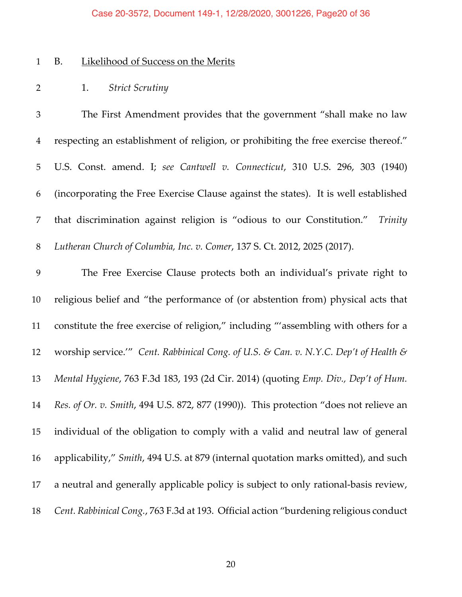#### Case 20-3572, Document 149-1, 12/28/2020, 3001226, Page20 of 36

# B. Likelihood of Success on the Merits

1. *Strict Scrutiny*

 The First Amendment provides that the government "shall make no law respecting an establishment of religion, or prohibiting the free exercise thereof." U.S. Const. amend. I; *see Cantwell v. Connecticut*, 310 U.S. 296, 303 (1940) (incorporating the Free Exercise Clause against the states). It is well established that discrimination against religion is "odious to our Constitution." *Trinity Lutheran Church of Columbia, Inc. v. Comer*, 137 S. Ct. 2012, 2025 (2017).

 The Free Exercise Clause protects both an individual's private right to religious belief and "the performance of (or abstention from) physical acts that constitute the free exercise of religion," including "'assembling with others for a worship service.'" *Cent. Rabbinical Cong. of U.S. & Can. v. N.Y.C. Dep't of Health & Mental Hygiene*, 763 F.3d 183, 193 (2d Cir. 2014) (quoting *Emp. Div., Dep't of Hum. Res. of Or. v. Smith*, 494 U.S. 872, 877 (1990)). This protection "does not relieve an individual of the obligation to comply with a valid and neutral law of general applicability," *Smith*, 494 U.S. at 879 (internal quotation marks omitted), and such a neutral and generally applicable policy is subject to only rational-basis review, *Cent. Rabbinical Cong.*, 763 F.3d at 193. Official action "burdening religious conduct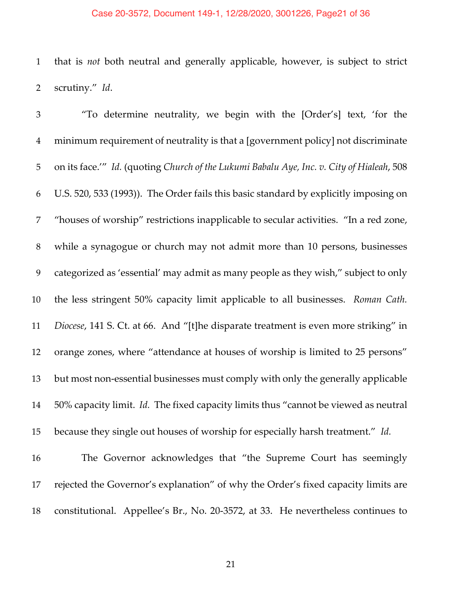#### Case 20-3572, Document 149-1, 12/28/2020, 3001226, Page21 of 36

 that is *not* both neutral and generally applicable, however, is subject to strict scrutiny." *Id*.

 "To determine neutrality, we begin with the [Order's] text, 'for the minimum requirement of neutrality is that a [government policy] not discriminate on its face.'" *Id.* (quoting *Church of the Lukumi Babalu Aye, Inc. v. City of Hialeah*, 508 U.S. 520, 533 (1993)). The Order fails this basic standard by explicitly imposing on "houses of worship" restrictions inapplicable to secular activities. "In a red zone, while a synagogue or church may not admit more than 10 persons, businesses categorized as 'essential' may admit as many people as they wish," subject to only the less stringent 50% capacity limit applicable to all businesses. *Roman Cath. Diocese*, 141 S. Ct. at 66. And "[t]he disparate treatment is even more striking" in orange zones, where "attendance at houses of worship is limited to 25 persons" but most non-essential businesses must comply with only the generally applicable 50% capacity limit. *Id.* The fixed capacity limits thus "cannot be viewed as neutral because they single out houses of worship for especially harsh treatment." *Id.*

 The Governor acknowledges that "the Supreme Court has seemingly rejected the Governor's explanation" of why the Order's fixed capacity limits are constitutional. Appellee's Br., No. 20-3572, at 33. He nevertheless continues to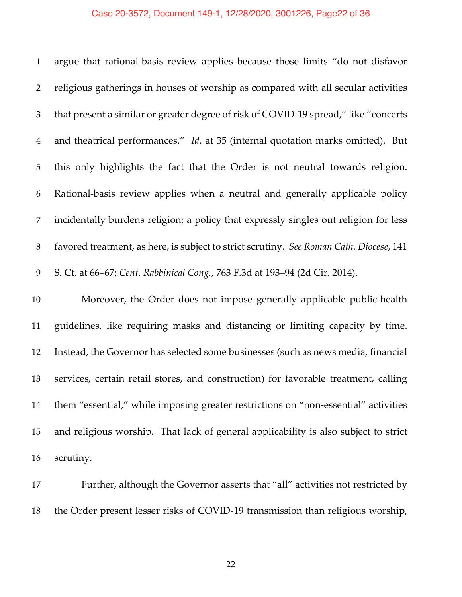#### Case 20-3572, Document 149-1, 12/28/2020, 3001226, Page22 of 36

 argue that rational-basis review applies because those limits "do not disfavor religious gatherings in houses of worship as compared with all secular activities that present a similar or greater degree of risk of COVID-19 spread," like "concerts and theatrical performances." *Id.* at 35 (internal quotation marks omitted). But this only highlights the fact that the Order is not neutral towards religion. Rational-basis review applies when a neutral and generally applicable policy incidentally burdens religion; a policy that expressly singles out religion for less favored treatment, as here, is subject to strict scrutiny. *See Roman Cath. Diocese*, 141 S. Ct. at 66–67; *Cent. Rabbinical Cong.*, 763 F.3d at 193–94 (2d Cir. 2014).

 Moreover, the Order does not impose generally applicable public-health guidelines, like requiring masks and distancing or limiting capacity by time. Instead, the Governor has selected some businesses (such as news media, financial services, certain retail stores, and construction) for favorable treatment, calling them "essential," while imposing greater restrictions on "non-essential" activities and religious worship. That lack of general applicability is also subject to strict scrutiny.

 Further, although the Governor asserts that "all" activities not restricted by the Order present lesser risks of COVID-19 transmission than religious worship,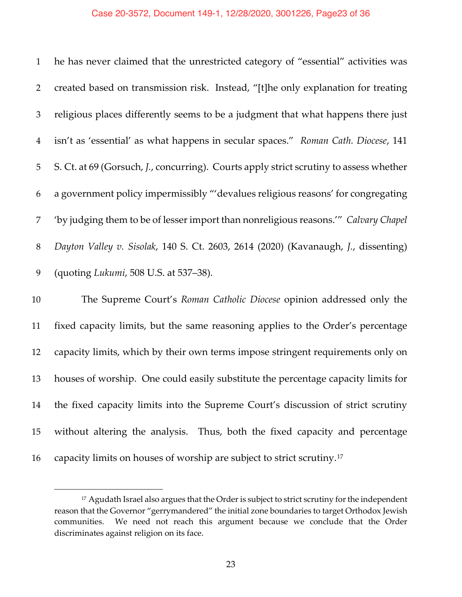#### Case 20-3572, Document 149-1, 12/28/2020, 3001226, Page23 of 36

 he has never claimed that the unrestricted category of "essential" activities was created based on transmission risk. Instead, "[t]he only explanation for treating religious places differently seems to be a judgment that what happens there just isn't as 'essential' as what happens in secular spaces." *Roman Cath. Diocese*, 141 S. Ct. at 69 (Gorsuch, *J.*, concurring). Courts apply strict scrutiny to assess whether a government policy impermissibly "'devalues religious reasons' for congregating 'by judging them to be of lesser import than nonreligious reasons.'" *Calvary Chapel Dayton Valley v. Sisolak*, 140 S. Ct. 2603, 2614 (2020) (Kavanaugh, *J.*, dissenting) (quoting *Lukumi*, 508 U.S. at 537–38).

 The Supreme Court's *Roman Catholic Diocese* opinion addressed only the fixed capacity limits, but the same reasoning applies to the Order's percentage capacity limits, which by their own terms impose stringent requirements only on houses of worship. One could easily substitute the percentage capacity limits for the fixed capacity limits into the Supreme Court's discussion of strict scrutiny without altering the analysis. Thus, both the fixed capacity and percentage 16 capacity limits on houses of worship are subject to strict scrutiny.<sup>17</sup>

<sup>&</sup>lt;sup>17</sup> Agudath Israel also argues that the Order is subject to strict scrutiny for the independent reason that the Governor "gerrymandered" the initial zone boundaries to target Orthodox Jewish communities. We need not reach this argument because we conclude that the Order discriminates against religion on its face.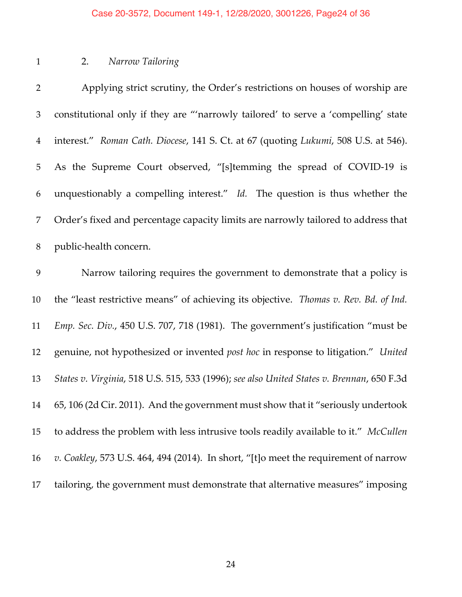#### Case 20-3572, Document 149-1, 12/28/2020, 3001226, Page24 of 36

## 2. *Narrow Tailoring*

 Applying strict scrutiny, the Order's restrictions on houses of worship are constitutional only if they are "'narrowly tailored' to serve a 'compelling' state interest." *Roman Cath. Diocese*, 141 S. Ct. at 67 (quoting *Lukumi*, 508 U.S. at 546). As the Supreme Court observed, "[s]temming the spread of COVID-19 is unquestionably a compelling interest." *Id.* The question is thus whether the Order's fixed and percentage capacity limits are narrowly tailored to address that public-health concern. Narrow tailoring requires the government to demonstrate that a policy is the "least restrictive means" of achieving its objective. *Thomas v. Rev. Bd. of Ind. Emp. Sec. Div.*, 450 U.S. 707, 718 (1981). The government's justification "must be genuine, not hypothesized or invented *post hoc* in response to litigation." *United States v. Virginia*, 518 U.S. 515, 533 (1996); *see also United States v. Brennan*, 650 F.3d 65, 106 (2d Cir. 2011). And the government must show that it "seriously undertook to address the problem with less intrusive tools readily available to it." *McCullen v. Coakley*, 573 U.S. 464, 494 (2014). In short, "[t]o meet the requirement of narrow tailoring, the government must demonstrate that alternative measures" imposing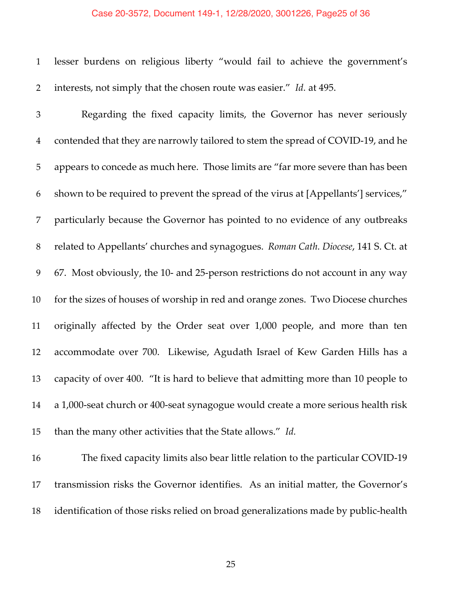#### Case 20-3572, Document 149-1, 12/28/2020, 3001226, Page25 of 36

 lesser burdens on religious liberty "would fail to achieve the government's interests, not simply that the chosen route was easier." *Id.* at 495.

 Regarding the fixed capacity limits, the Governor has never seriously contended that they are narrowly tailored to stem the spread of COVID-19, and he appears to concede as much here. Those limits are "far more severe than has been shown to be required to prevent the spread of the virus at [Appellants'] services," particularly because the Governor has pointed to no evidence of any outbreaks related to Appellants' churches and synagogues. *Roman Cath. Diocese*, 141 S. Ct. at 67. Most obviously, the 10- and 25-person restrictions do not account in any way for the sizes of houses of worship in red and orange zones. Two Diocese churches originally affected by the Order seat over 1,000 people, and more than ten accommodate over 700. Likewise, Agudath Israel of Kew Garden Hills has a capacity of over 400. "It is hard to believe that admitting more than 10 people to a 1,000-seat church or 400-seat synagogue would create a more serious health risk than the many other activities that the State allows." *Id.*

 The fixed capacity limits also bear little relation to the particular COVID-19 transmission risks the Governor identifies. As an initial matter, the Governor's identification of those risks relied on broad generalizations made by public-health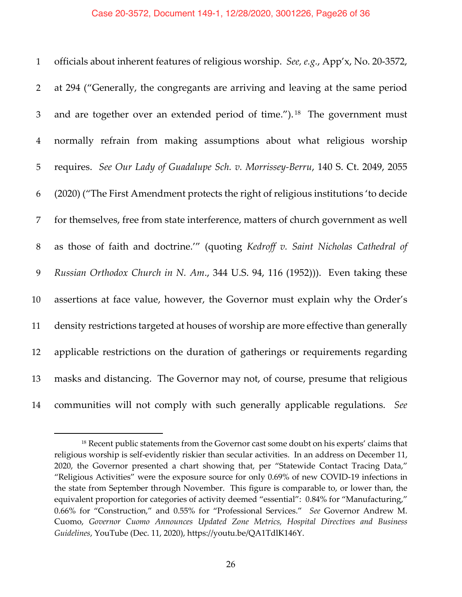officials about inherent features of religious worship. *See, e.g.*, App'x, No. 20-3572, at 294 ("Generally, the congregants are arriving and leaving at the same period 3 and are together over an extended period of time.").<sup>18</sup> The government must normally refrain from making assumptions about what religious worship requires. *See Our Lady of Guadalupe Sch. v. Morrissey-Berru*, 140 S. Ct. 2049, 2055 (2020) ("The First Amendment protects the right of religious institutions 'to decide for themselves, free from state interference, matters of church government as well as those of faith and doctrine.'" (quoting *Kedroff v. Saint Nicholas Cathedral of Russian Orthodox Church in N. Am*., 344 U.S. 94, 116 (1952))). Even taking these assertions at face value, however, the Governor must explain why the Order's density restrictions targeted at houses of worship are more effective than generally applicable restrictions on the duration of gatherings or requirements regarding masks and distancing. The Governor may not, of course, presume that religious communities will not comply with such generally applicable regulations. *See*

<sup>&</sup>lt;sup>18</sup> Recent public statements from the Governor cast some doubt on his experts' claims that religious worship is self-evidently riskier than secular activities. In an address on December 11, 2020, the Governor presented a chart showing that, per "Statewide Contact Tracing Data," "Religious Activities" were the exposure source for only 0.69% of new COVID-19 infections in the state from September through November. This figure is comparable to, or lower than, the equivalent proportion for categories of activity deemed "essential": 0.84% for "Manufacturing," 0.66% for "Construction," and 0.55% for "Professional Services." *See* Governor Andrew M. Cuomo, *Governor Cuomo Announces Updated Zone Metrics, Hospital Directives and Business Guidelines*, YouTube (Dec. 11, 2020), https://youtu.be/QA1TdlK146Y.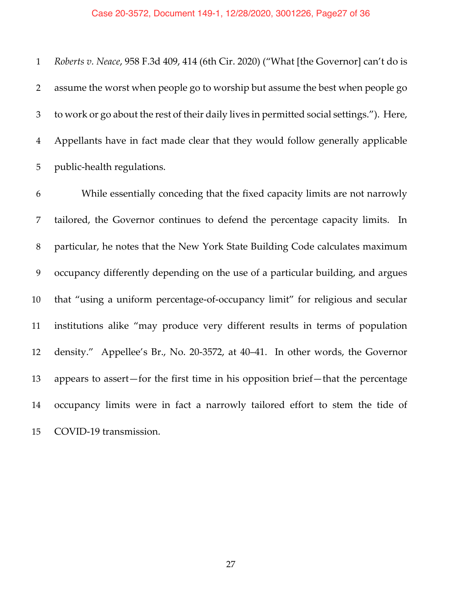*Roberts v. Neace*, 958 F.3d 409, 414 (6th Cir. 2020) ("What [the Governor] can't do is assume the worst when people go to worship but assume the best when people go to work or go about the rest of their daily lives in permitted social settings."). Here, Appellants have in fact made clear that they would follow generally applicable public-health regulations.

 While essentially conceding that the fixed capacity limits are not narrowly tailored, the Governor continues to defend the percentage capacity limits. In particular, he notes that the New York State Building Code calculates maximum occupancy differently depending on the use of a particular building, and argues that "using a uniform percentage-of-occupancy limit" for religious and secular institutions alike "may produce very different results in terms of population density." Appellee's Br., No. 20-3572, at 40–41. In other words, the Governor appears to assert—for the first time in his opposition brief—that the percentage occupancy limits were in fact a narrowly tailored effort to stem the tide of COVID-19 transmission.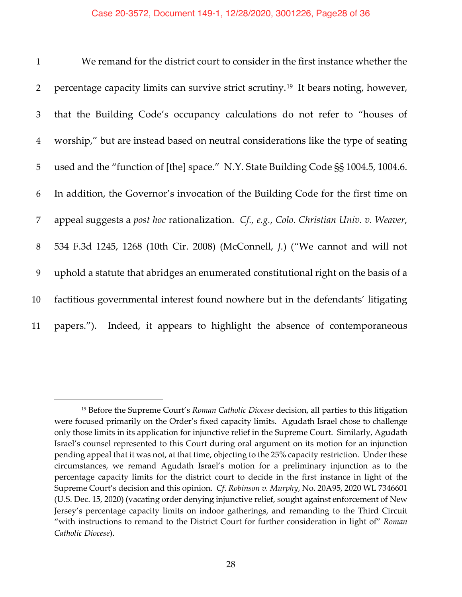| $\mathbf{1}$   | We remand for the district court to consider in the first instance whether the                  |
|----------------|-------------------------------------------------------------------------------------------------|
| 2              | percentage capacity limits can survive strict scrutiny. <sup>19</sup> It bears noting, however, |
| 3              | that the Building Code's occupancy calculations do not refer to "houses of                      |
| $\overline{4}$ | worship," but are instead based on neutral considerations like the type of seating              |
| 5              | used and the "function of [the] space." N.Y. State Building Code SS 1004.5, 1004.6.             |
| 6              | In addition, the Governor's invocation of the Building Code for the first time on               |
| 7              | appeal suggests a post hoc rationalization. Cf., e.g., Colo. Christian Univ. v. Weaver,         |
| 8              | 534 F.3d 1245, 1268 (10th Cir. 2008) (McConnell, J.) ("We cannot and will not                   |
| 9              | uphold a statute that abridges an enumerated constitutional right on the basis of a             |
| 10             | factitious governmental interest found nowhere but in the defendants' litigating                |
| 11             | papers."). Indeed, it appears to highlight the absence of contemporaneous                       |

<sup>19</sup> Before the Supreme Court's *Roman Catholic Diocese* decision, all parties to this litigation were focused primarily on the Order's fixed capacity limits. Agudath Israel chose to challenge only those limits in its application for injunctive relief in the Supreme Court. Similarly, Agudath Israel's counsel represented to this Court during oral argument on its motion for an injunction pending appeal that it was not, at that time, objecting to the 25% capacity restriction. Under these circumstances, we remand Agudath Israel's motion for a preliminary injunction as to the percentage capacity limits for the district court to decide in the first instance in light of the Supreme Court's decision and this opinion. *Cf*. *Robinson v. Murphy*, No. 20A95, 2020 WL 7346601 (U.S. Dec. 15, 2020) (vacating order denying injunctive relief, sought against enforcement of New Jersey's percentage capacity limits on indoor gatherings, and remanding to the Third Circuit "with instructions to remand to the District Court for further consideration in light of" *Roman Catholic Diocese*).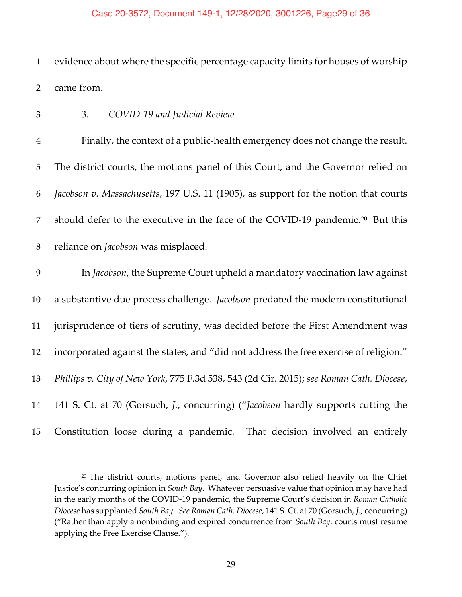#### Case 20-3572, Document 149-1, 12/28/2020, 3001226, Page29 of 36

 evidence about where the specific percentage capacity limits for houses of worship came from.

## 3. *COVID-19 and Judicial Review*

 Finally, the context of a public-health emergency does not change the result. The district courts, the motions panel of this Court, and the Governor relied on *Jacobson v. Massachusetts*, 197 U.S. 11 (1905), as support for the notion that courts 7 should defer to the executive in the face of the COVID-19 pandemic.<sup>20</sup> But this reliance on *Jacobson* was misplaced.

 In *Jacobson*, the Supreme Court upheld a mandatory vaccination law against a substantive due process challenge. *Jacobson* predated the modern constitutional jurisprudence of tiers of scrutiny, was decided before the First Amendment was incorporated against the states, and "did not address the free exercise of religion." *Phillips v. City of New York*, 775 F.3d 538, 543 (2d Cir. 2015); *see Roman Cath. Diocese*, 141 S. Ct. at 70 (Gorsuch, *J.*, concurring) ("*Jacobson* hardly supports cutting the Constitution loose during a pandemic. That decision involved an entirely

 The district courts, motions panel, and Governor also relied heavily on the Chief Justice's concurring opinion in *South Bay*. Whatever persuasive value that opinion may have had in the early months of the COVID-19 pandemic, the Supreme Court's decision in *Roman Catholic Diocese* has supplanted *South Bay*. *See Roman Cath. Diocese*, 141 S. Ct. at 70 (Gorsuch, *J.*, concurring) ("Rather than apply a nonbinding and expired concurrence from *South Bay*, courts must resume applying the Free Exercise Clause.").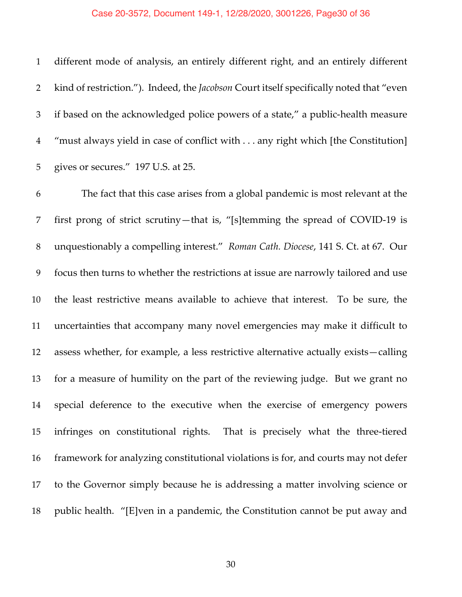#### Case 20-3572, Document 149-1, 12/28/2020, 3001226, Page30 of 36

 different mode of analysis, an entirely different right, and an entirely different kind of restriction."). Indeed, the *Jacobson* Court itself specifically noted that "even if based on the acknowledged police powers of a state," a public-health measure "must always yield in case of conflict with . . . any right which [the Constitution] gives or secures." 197 U.S. at 25.

 The fact that this case arises from a global pandemic is most relevant at the first prong of strict scrutiny—that is, "[s]temming the spread of COVID-19 is unquestionably a compelling interest." *Roman Cath. Diocese*, 141 S. Ct. at 67. Our focus then turns to whether the restrictions at issue are narrowly tailored and use the least restrictive means available to achieve that interest. To be sure, the uncertainties that accompany many novel emergencies may make it difficult to assess whether, for example, a less restrictive alternative actually exists—calling for a measure of humility on the part of the reviewing judge. But we grant no special deference to the executive when the exercise of emergency powers infringes on constitutional rights. That is precisely what the three-tiered framework for analyzing constitutional violations is for, and courts may not defer to the Governor simply because he is addressing a matter involving science or public health. "[E]ven in a pandemic, the Constitution cannot be put away and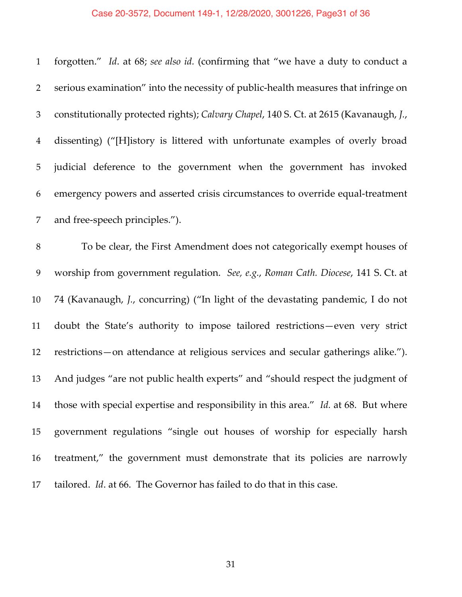# Case 20-3572, Document 149-1, 12/28/2020, 3001226, Page31 of 36

| $\mathbf{1}$   | forgotten." Id. at 68; see also id. (confirming that "we have a duty to conduct a      |
|----------------|----------------------------------------------------------------------------------------|
| 2              | serious examination" into the necessity of public-health measures that infringe on     |
| 3              | constitutionally protected rights); Calvary Chapel, 140 S. Ct. at 2615 (Kavanaugh, J., |
| $\overline{4}$ | dissenting) ("[H]istory is littered with unfortunate examples of overly broad          |
| 5              | judicial deference to the government when the government has invoked                   |
| 6              | emergency powers and asserted crisis circumstances to override equal-treatment         |
| 7              | and free-speech principles.").                                                         |
| 8              | To be clear, the First Amendment does not categorically exempt houses of               |
| 9              | worship from government regulation. See, e.g., Roman Cath. Diocese, 141 S. Ct. at      |
| 10             | 74 (Kavanaugh, J., concurring) ("In light of the devastating pandemic, I do not        |
| 11             | doubt the State's authority to impose tailored restrictions-even very strict           |
| 12             | restrictions-on attendance at religious services and secular gatherings alike.").      |
| 13             | And judges "are not public health experts" and "should respect the judgment of         |
| 14             | those with special expertise and responsibility in this area." Id. at 68. But where    |
| 15             | government regulations "single out houses of worship for especially harsh              |
| 16             | treatment," the government must demonstrate that its policies are narrowly             |
| 17             | tailored. <i>Id.</i> at 66. The Governor has failed to do that in this case.           |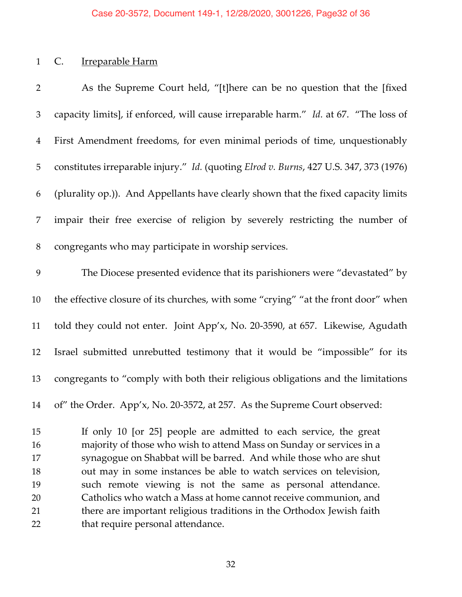# 1 C. Irreparable Harm

| $\overline{2}$ | As the Supreme Court held, "[t]here can be no question that the [fixed                 |
|----------------|----------------------------------------------------------------------------------------|
| 3              | capacity limits], if enforced, will cause irreparable harm." Id. at 67. "The loss of   |
| $\overline{4}$ | First Amendment freedoms, for even minimal periods of time, unquestionably             |
| 5              | constitutes irreparable injury." Id. (quoting Elrod v. Burns, 427 U.S. 347, 373 (1976) |
| 6              | (plurality op.)). And Appellants have clearly shown that the fixed capacity limits     |
| 7              | impair their free exercise of religion by severely restricting the number of           |
| $8\,$          | congregants who may participate in worship services.                                   |
| 9              | The Diocese presented evidence that its parishioners were "devastated" by              |
| 10             | the effective closure of its churches, with some "crying" "at the front door" when     |
| 11             | told they could not enter. Joint App'x, No. 20-3590, at 657. Likewise, Agudath         |
| 12             | Israel submitted unrebutted testimony that it would be "impossible" for its            |
| 13             | congregants to "comply with both their religious obligations and the limitations       |
| 14             | of" the Order. App'x, No. 20-3572, at 257. As the Supreme Court observed:              |
| 15             | If only 10 [or 25] people are admitted to each service, the great                      |
| 16             | majority of those who wish to attend Mass on Sunday or services in a                   |
| 17             | synagogue on Shabbat will be barred. And while those who are shut                      |
| 18             | out may in some instances be able to watch services on television,                     |
| 19             | such remote viewing is not the same as personal attendance.                            |
| 20             | Catholics who watch a Mass at home cannot receive communion, and                       |

 there are important religious traditions in the Orthodox Jewish faith 22 that require personal attendance.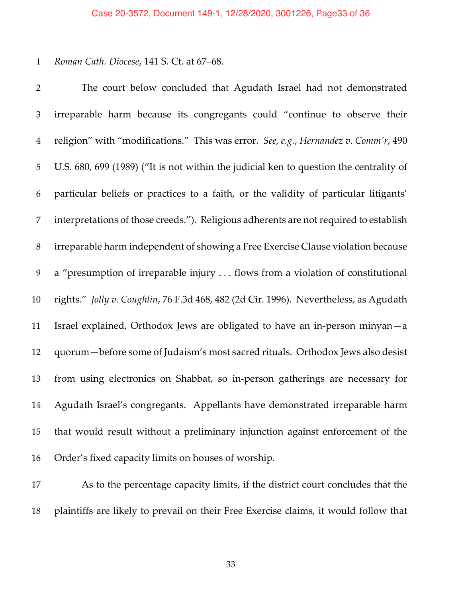#### *Roman Cath. Diocese*, 141 S. Ct. at 67–68.

 The court below concluded that Agudath Israel had not demonstrated irreparable harm because its congregants could "continue to observe their religion" with "modifications." This was error. *See, e.g.*, *Hernandez v. Comm'r*, 490 U.S. 680, 699 (1989) ("It is not within the judicial ken to question the centrality of particular beliefs or practices to a faith, or the validity of particular litigants' interpretations of those creeds."). Religious adherents are not required to establish irreparable harm independent of showing a Free Exercise Clause violation because a "presumption of irreparable injury . . . flows from a violation of constitutional rights." *Jolly v. Coughlin*, 76 F.3d 468, 482 (2d Cir. 1996). Nevertheless, as Agudath Israel explained, Orthodox Jews are obligated to have an in-person minyan—a quorum—before some of Judaism's most sacred rituals. Orthodox Jews also desist from using electronics on Shabbat, so in-person gatherings are necessary for Agudath Israel's congregants. Appellants have demonstrated irreparable harm that would result without a preliminary injunction against enforcement of the Order's fixed capacity limits on houses of worship.

 As to the percentage capacity limits, if the district court concludes that the plaintiffs are likely to prevail on their Free Exercise claims, it would follow that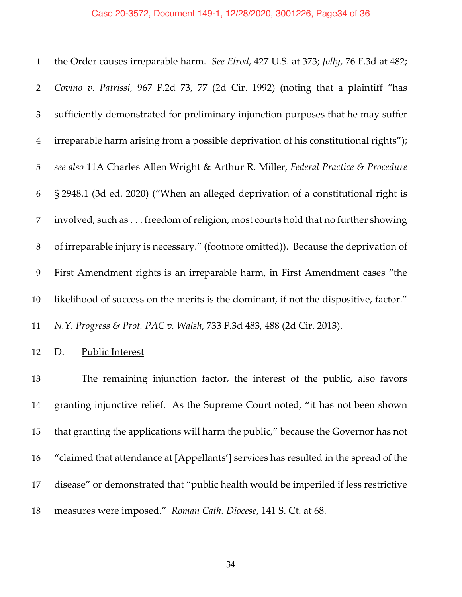the Order causes irreparable harm. *See Elrod*, 427 U.S. at 373; *Jolly*, 76 F.3d at 482; *Covino v. Patrissi*, 967 F.2d 73, 77 (2d Cir. 1992) (noting that a plaintiff "has sufficiently demonstrated for preliminary injunction purposes that he may suffer irreparable harm arising from a possible deprivation of his constitutional rights"); *see also* 11A Charles Allen Wright & Arthur R. Miller, *Federal Practice & Procedure* § 2948.1 (3d ed. 2020) ("When an alleged deprivation of a constitutional right is involved, such as . . . freedom of religion, most courts hold that no further showing of irreparable injury is necessary." (footnote omitted)). Because the deprivation of First Amendment rights is an irreparable harm, in First Amendment cases "the likelihood of success on the merits is the dominant, if not the dispositive, factor." *N.Y. Progress & Prot. PAC v. Walsh*, 733 F.3d 483, 488 (2d Cir. 2013).

D. Public Interest

 The remaining injunction factor, the interest of the public, also favors granting injunctive relief. As the Supreme Court noted, "it has not been shown that granting the applications will harm the public," because the Governor has not "claimed that attendance at [Appellants'] services has resulted in the spread of the disease" or demonstrated that "public health would be imperiled if less restrictive measures were imposed." *Roman Cath. Diocese*, 141 S. Ct. at 68.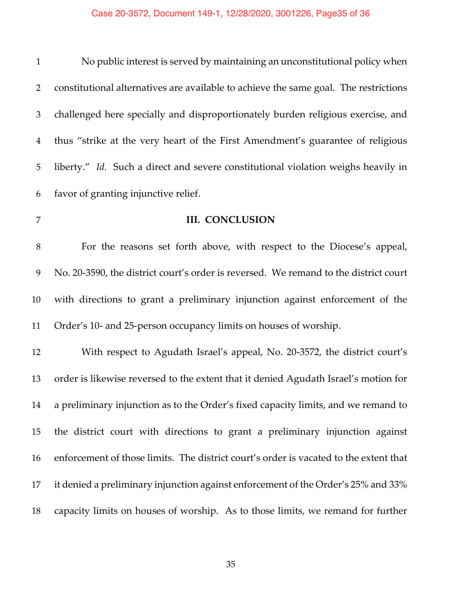# Case 20-3572, Document 149-1, 12/28/2020, 3001226, Page35 of 36

| $\mathbf{1}$   | No public interest is served by maintaining an unconstitutional policy when           |
|----------------|---------------------------------------------------------------------------------------|
| $\overline{2}$ | constitutional alternatives are available to achieve the same goal. The restrictions  |
| 3              | challenged here specially and disproportionately burden religious exercise, and       |
| $\overline{4}$ | thus "strike at the very heart of the First Amendment's guarantee of religious        |
| 5              | liberty." Id. Such a direct and severe constitutional violation weighs heavily in     |
| 6              | favor of granting injunctive relief.                                                  |
| $\overline{7}$ | <b>III. CONCLUSION</b>                                                                |
| $8\,$          | For the reasons set forth above, with respect to the Diocese's appeal,                |
| 9              | No. 20-3590, the district court's order is reversed. We remand to the district court  |
| 10             | with directions to grant a preliminary injunction against enforcement of the          |
| 11             | Order's 10- and 25-person occupancy limits on houses of worship.                      |
| 12             | With respect to Agudath Israel's appeal, No. 20-3572, the district court's            |
| 13             | order is likewise reversed to the extent that it denied Agudath Israel's motion for   |
| 14             | a preliminary injunction as to the Order's fixed capacity limits, and we remand to    |
| 15             | the district court with directions to grant a preliminary injunction against          |
| 16             | enforcement of those limits. The district court's order is vacated to the extent that |
| 17             | it denied a preliminary injunction against enforcement of the Order's 25% and 33%     |
| 18             | capacity limits on houses of worship. As to those limits, we remand for further       |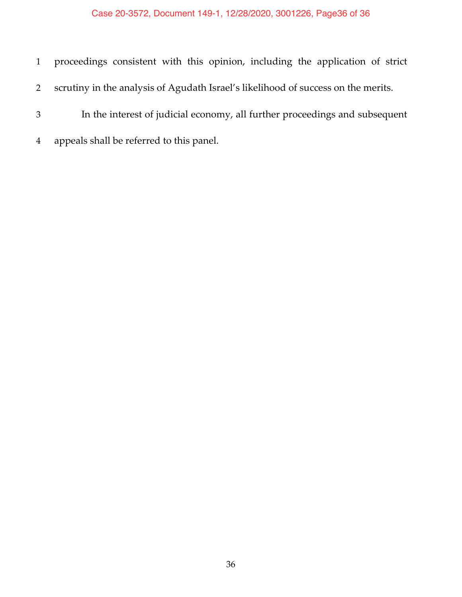## Case 20-3572, Document 149-1, 12/28/2020, 3001226, Page36 of 36

- proceedings consistent with this opinion, including the application of strict scrutiny in the analysis of Agudath Israel's likelihood of success on the merits. In the interest of judicial economy, all further proceedings and subsequent
- appeals shall be referred to this panel.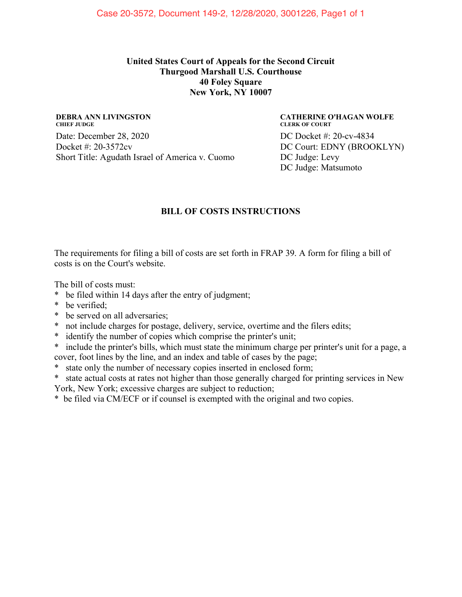### **United States Court of Appeals for the Second Circuit Thurgood Marshall U.S. Courthouse 40 Foley Square New York, NY 10007**

#### **DEBRA ANN LIVINGSTON CHIEF JUDGE** Date: December 28, 2020

Docket #: 20-3572cv Short Title: Agudath Israel of America v. Cuomo

### **CATHERINE O'HAGAN WOLFE CLERK OF COURT** DC Docket #: 20-cv-4834 DC Court: EDNY (BROOKLYN) DC Judge: Levy DC Judge: Matsumoto

## **BILL OF COSTS INSTRUCTIONS**

The requirements for filing a bill of costs are set forth in FRAP 39. A form for filing a bill of costs is on the Court's website.

The bill of costs must:

- \* be filed within 14 days after the entry of judgment;
- \* be verified;
- \* be served on all adversaries;
- \* not include charges for postage, delivery, service, overtime and the filers edits;
- \* identify the number of copies which comprise the printer's unit;
- \* include the printer's bills, which must state the minimum charge per printer's unit for a page, a cover, foot lines by the line, and an index and table of cases by the page;
- \* state only the number of necessary copies inserted in enclosed form;
- \* state actual costs at rates not higher than those generally charged for printing services in New
- York, New York; excessive charges are subject to reduction;

\* be filed via CM/ECF or if counsel is exempted with the original and two copies.